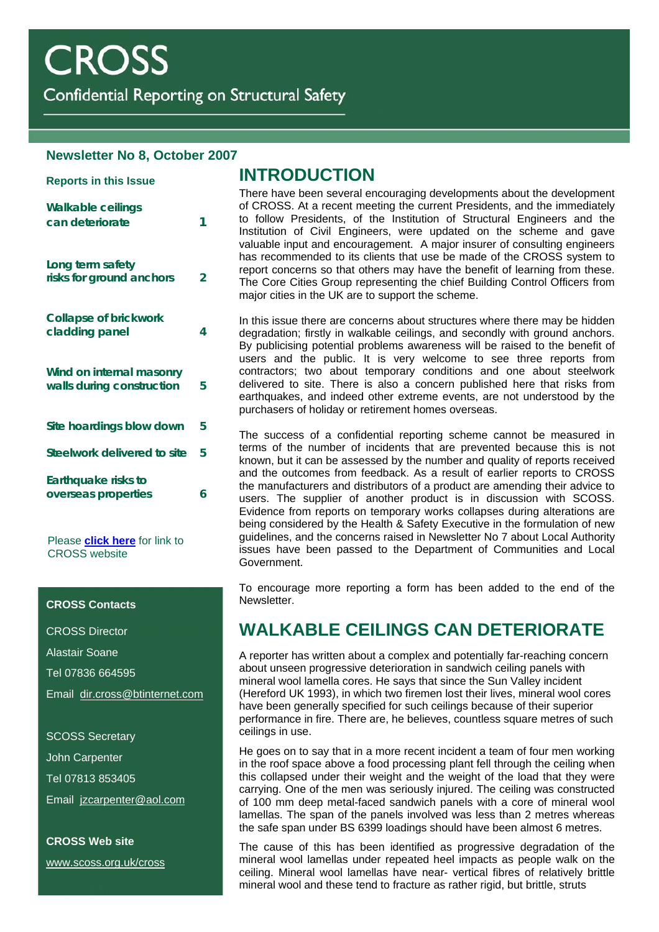**Reports in this Issue** 

Confidential Reporting on Structural Safety

#### **Newsletter No 8, October 2007**

| Walkable ceilings<br>can deteriorate                  |   |
|-------------------------------------------------------|---|
| Long term safety<br>risks for ground anchors          |   |
| Collapse of brickwork<br>cladding panel               | 4 |
| Wind on internal masonry<br>walls during construction | 5 |
| Site hoardings blow down                              | 5 |
| Steelwork delivered to site                           | 5 |
| Earthquake risks to<br>overseas properties            | 6 |
|                                                       |   |

Please **[click here](http://www.scoss.org.uk/CROSS)** for link to CROSS website

#### **CROSS Contacts**

CROSS Director

Alastair Soane

Tel 07836 664595

Email [dir.cross@btinternet.com](mailto:dir.cross@btinternet.com)

SCOSS Secretary

John Carpenter

Tel 07813 853405

Email [jzcarpenter@aol.com](mailto:jzcarpenter@aol.com)

**CROSS Web site**  [www.scoss.org.uk/cross](http://www.scoss.org.uk/cross)

### **INTRODUCTION**

There have been several encouraging developments about the development of CROSS. At a recent meeting the current Presidents, and the immediately can deteriorate **1** to follow Presidents, of the Institution of Structural Engineers and the Institution of Civil Engineers, were updated on the scheme and gave valuable input and encouragement. A major insurer of consulting engineers has recommended to its clients that use be made of the CROSS system to report concerns so that others may have the benefit of learning from these. The Core Cities Group representing the chief Building Control Officers from major cities in the UK are to support the scheme.

> In this issue there are concerns about structures where there may be hidden degradation; firstly in walkable ceilings, and secondly with ground anchors. By publicising potential problems awareness will be raised to the benefit of users and the public. It is very welcome to see three reports from contractors; two about temporary conditions and one about steelwork delivered to site. There is also a concern published here that risks from earthquakes, and indeed other extreme events, are not understood by the purchasers of holiday or retirement homes overseas.

> The success of a confidential reporting scheme cannot be measured in terms of the number of incidents that are prevented because this is not known, but it can be assessed by the number and quality of reports received and the outcomes from feedback. As a result of earlier reports to CROSS the manufacturers and distributors of a product are amending their advice to users. The supplier of another product is in discussion with SCOSS. Evidence from reports on temporary works collapses during alterations are being considered by the Health & Safety Executive in the formulation of new guidelines, and the concerns raised in Newsletter No 7 about Local Authority issues have been passed to the Department of Communities and Local Government.

> To encourage more reporting a form has been added to the end of the Newsletter.

# **WALKABLE CEILINGS CAN DETERIORATE**

A reporter has written about a complex and potentially far-reaching concern about unseen progressive deterioration in sandwich ceiling panels with mineral wool lamella cores. He says that since the Sun Valley incident (Hereford UK 1993), in which two firemen lost their lives, mineral wool cores have been generally specified for such ceilings because of their superior performance in fire. There are, he believes, countless square metres of such ceilings in use.

He goes on to say that in a more recent incident a team of four men working in the roof space above a food processing plant fell through the ceiling when this collapsed under their weight and the weight of the load that they were carrying. One of the men was seriously injured. The ceiling was constructed of 100 mm deep metal-faced sandwich panels with a core of mineral wool lamellas. The span of the panels involved was less than 2 metres whereas the safe span under BS 6399 loadings should have been almost 6 metres.

The cause of this has been identified as progressive degradation of the mineral wool lamellas under repeated heel impacts as people walk on the ceiling. Mineral wool lamellas have near- vertical fibres of relatively brittle mineral wool and these tend to fracture as rather rigid, but brittle, struts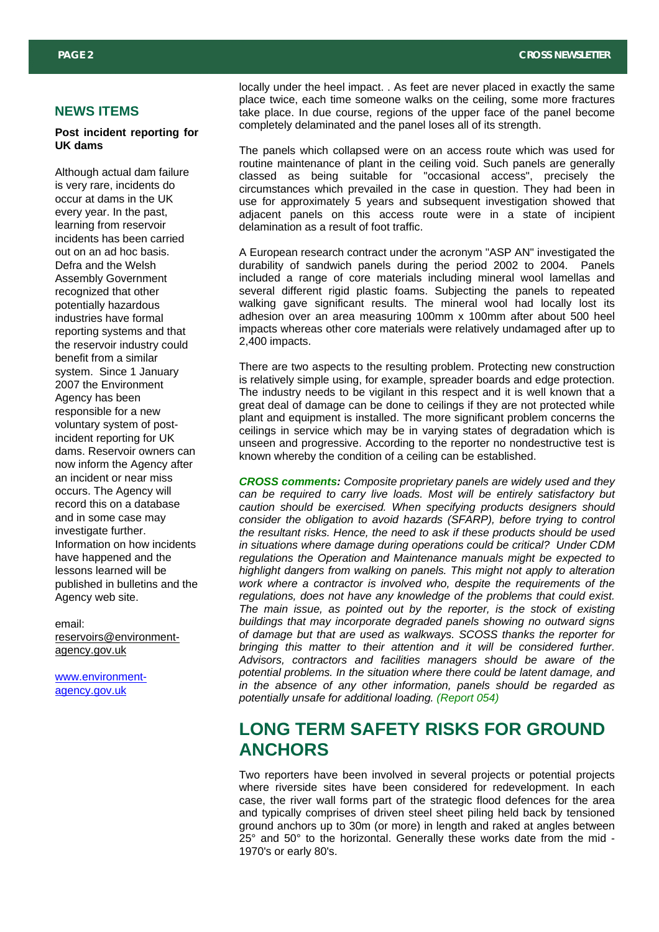#### **NEWS ITEMS**

#### **Post incident reporting for UK dams**

Although actual dam failure is very rare, incidents do occur at dams in the UK every year. In the past, learning from reservoir incidents has been carried out on an ad hoc basis. Defra and the Welsh Assembly Government recognized that other potentially hazardous industries have formal reporting systems and that the reservoir industry could benefit from a similar system. Since 1 January 2007 the Environment Agency has been responsible for a new voluntary system of postincident reporting for UK dams. Reservoir owners can now inform the Agency after an incident or near miss occurs. The Agency will record this on a database and in some case may investigate further. Information on how incidents have happened and the lessons learned will be published in bulletins and the Agency web site.

email: [reservoirs@environment](mailto:reservoirs@environment-agency.gov.uk)[agency.gov.uk](mailto:reservoirs@environment-agency.gov.uk)

[www.environment](http://www.environment-agency.gov.uk/)[agency.gov.uk](http://www.environment-agency.gov.uk/)

locally under the heel impact. . As feet are never placed in exactly the same place twice, each time someone walks on the ceiling, some more fractures take place. In due course, regions of the upper face of the panel become completely delaminated and the panel loses all of its strength.

The panels which collapsed were on an access route which was used for routine maintenance of plant in the ceiling void. Such panels are generally classed as being suitable for "occasional access", precisely the circumstances which prevailed in the case in question. They had been in use for approximately 5 years and subsequent investigation showed that adjacent panels on this access route were in a state of incipient delamination as a result of foot traffic.

A European research contract under the acronym "ASP AN" investigated the durability of sandwich panels during the period 2002 to 2004. Panels included a range of core materials including mineral wool lamellas and several different rigid plastic foams. Subjecting the panels to repeated walking gave significant results. The mineral wool had locally lost its adhesion over an area measuring 100mm x 100mm after about 500 heel impacts whereas other core materials were relatively undamaged after up to 2,400 impacts.

There are two aspects to the resulting problem. Protecting new construction is relatively simple using, for example, spreader boards and edge protection. The industry needs to be vigilant in this respect and it is well known that a great deal of damage can be done to ceilings if they are not protected while plant and equipment is installed. The more significant problem concerns the ceilings in service which may be in varying states of degradation which is unseen and progressive. According to the reporter no nondestructive test is known whereby the condition of a ceiling can be established.

*CROSS comments: Composite proprietary panels are widely used and they can be required to carry live loads. Most will be entirely satisfactory but caution should be exercised. When specifying products designers should consider the obligation to avoid hazards (SFARP), before trying to control the resultant risks. Hence, the need to ask if these products should be used in situations where damage during operations could be critical? Under CDM regulations the Operation and Maintenance manuals might be expected to highlight dangers from walking on panels. This might not apply to alteration work where a contractor is involved who, despite the requirements of the regulations, does not have any knowledge of the problems that could exist. The main issue, as pointed out by the reporter, is the stock of existing buildings that may incorporate degraded panels showing no outward signs of damage but that are used as walkways. SCOSS thanks the reporter for bringing this matter to their attention and it will be considered further. Advisors, contractors and facilities managers should be aware of the potential problems. In the situation where there could be latent damage, and in the absence of any other information, panels should be regarded as potentially unsafe for additional loading. (Report 054)*

## **LONG TERM SAFETY RISKS FOR GROUND ANCHORS**

Two reporters have been involved in several projects or potential projects where riverside sites have been considered for redevelopment. In each case, the river wall forms part of the strategic flood defences for the area and typically comprises of driven steel sheet piling held back by tensioned ground anchors up to 30m (or more) in length and raked at angles between 25° and 50° to the horizontal. Generally these works date from the mid - 1970's or early 80's.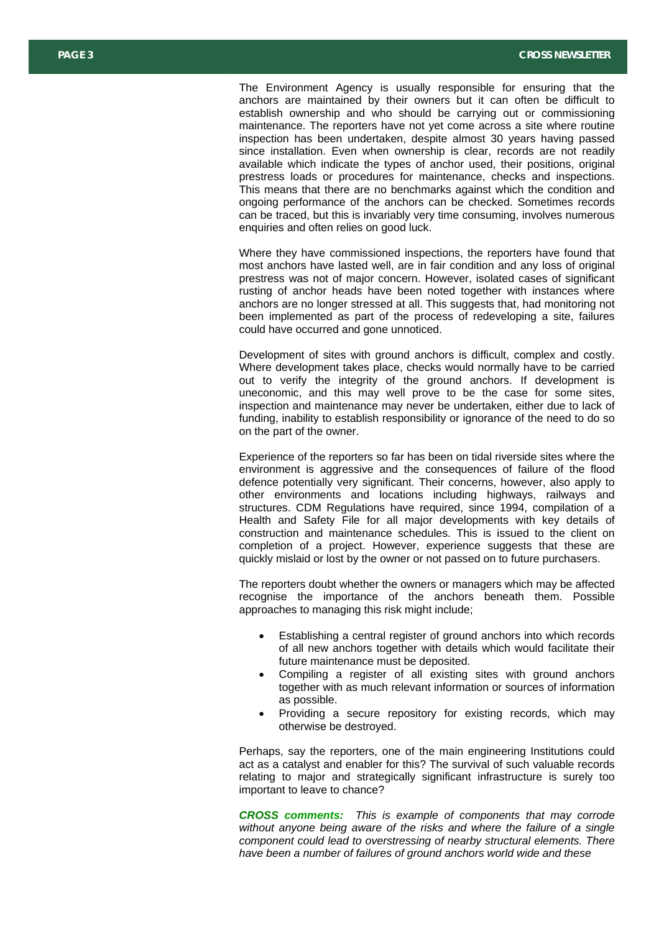The Environment Agency is usually responsible for ensuring that the anchors are maintained by their owners but it can often be difficult to establish ownership and who should be carrying out or commissioning maintenance. The reporters have not yet come across a site where routine inspection has been undertaken, despite almost 30 years having passed since installation. Even when ownership is clear, records are not readily available which indicate the types of anchor used, their positions, original prestress loads or procedures for maintenance, checks and inspections. This means that there are no benchmarks against which the condition and ongoing performance of the anchors can be checked. Sometimes records can be traced, but this is invariably very time consuming, involves numerous enquiries and often relies on good luck.

Where they have commissioned inspections, the reporters have found that most anchors have lasted well, are in fair condition and any loss of original prestress was not of major concern. However, isolated cases of significant rusting of anchor heads have been noted together with instances where anchors are no longer stressed at all. This suggests that, had monitoring not been implemented as part of the process of redeveloping a site, failures could have occurred and gone unnoticed.

Development of sites with ground anchors is difficult, complex and costly. Where development takes place, checks would normally have to be carried out to verify the integrity of the ground anchors. If development is uneconomic, and this may well prove to be the case for some sites, inspection and maintenance may never be undertaken, either due to lack of funding, inability to establish responsibility or ignorance of the need to do so on the part of the owner.

Experience of the reporters so far has been on tidal riverside sites where the environment is aggressive and the consequences of failure of the flood defence potentially very significant. Their concerns, however, also apply to other environments and locations including highways, railways and structures. CDM Regulations have required, since 1994, compilation of a Health and Safety File for all major developments with key details of construction and maintenance schedules. This is issued to the client on completion of a project. However, experience suggests that these are quickly mislaid or lost by the owner or not passed on to future purchasers.

The reporters doubt whether the owners or managers which may be affected recognise the importance of the anchors beneath them. Possible approaches to managing this risk might include;

- Establishing a central register of ground anchors into which records of all new anchors together with details which would facilitate their future maintenance must be deposited.
- Compiling a register of all existing sites with ground anchors together with as much relevant information or sources of information as possible.
- Providing a secure repository for existing records, which may otherwise be destroyed.

Perhaps, say the reporters, one of the main engineering Institutions could act as a catalyst and enabler for this? The survival of such valuable records relating to major and strategically significant infrastructure is surely too important to leave to chance?

*CROSS comments: This is example of components that may corrode without anyone being aware of the risks and where the failure of a single component could lead to overstressing of nearby structural elements. There have been a number of failures of ground anchors world wide and these*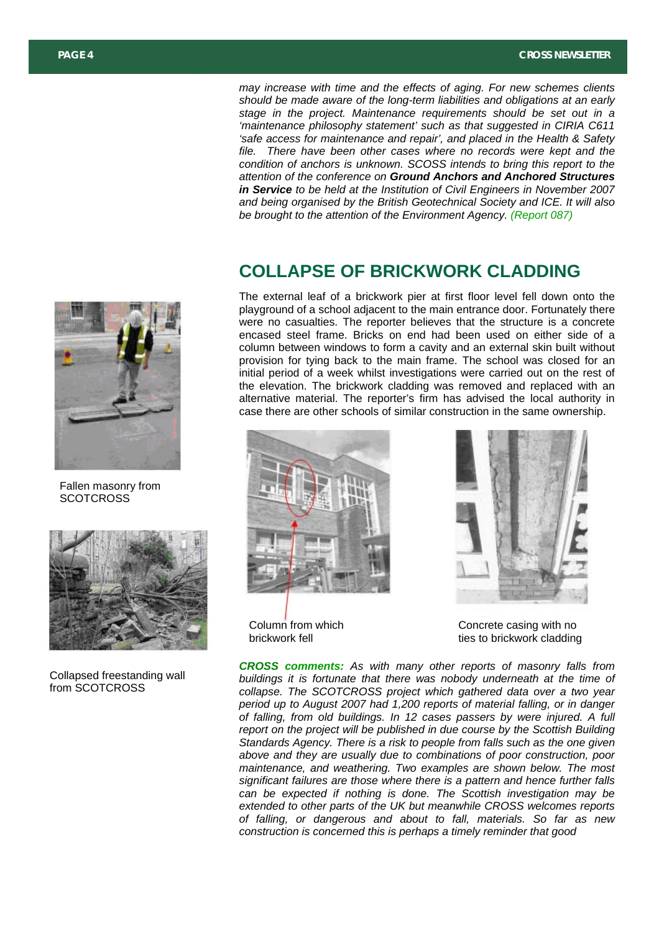*may increase with time and the effects of aging. For new schemes clients should be made aware of the long-term liabilities and obligations at an early stage in the project. Maintenance requirements should be set out in a 'maintenance philosophy statement' such as that suggested in CIRIA C611 'safe access for maintenance and repair', and placed in the Health & Safety file. There have been other cases where no records were kept and the condition of anchors is unknown. SCOSS intends to bring this report to the attention of the conference on Ground Anchors and Anchored Structures in Service to be held at the Institution of Civil Engineers in November 2007 and being organised by the British Geotechnical Society and ICE. It will also be brought to the attention of the Environment Agency. (Report 087)*

### **COLLAPSE OF BRICKWORK CLADDING**

The external leaf of a brickwork pier at first floor level fell down onto the playground of a school adjacent to the main entrance door. Fortunately there were no casualties. The reporter believes that the structure is a concrete encased steel frame. Bricks on end had been used on either side of a column between windows to form a cavity and an external skin built without provision for tying back to the main frame. The school was closed for an initial period of a week whilst investigations were carried out on the rest of the elevation. The brickwork cladding was removed and replaced with an alternative material. The reporter's firm has advised the local authority in case there are other schools of similar construction in the same ownership.







Concrete casing with no ties to brickwork cladding

*CROSS comments: As with many other reports of masonry falls from buildings it is fortunate that there was nobody underneath at the time of collapse. The SCOTCROSS project which gathered data over a two year period up to August 2007 had 1,200 reports of material falling, or in danger of falling, from old buildings. In 12 cases passers by were injured. A full report on the project will be published in due course by the Scottish Building Standards Agency. There is a risk to people from falls such as the one given above and they are usually due to combinations of poor construction, poor maintenance, and weathering. Two examples are shown below. The most significant failures are those where there is a pattern and hence further falls can be expected if nothing is done. The Scottish investigation may be extended to other parts of the UK but meanwhile CROSS welcomes reports of falling, or dangerous and about to fall, materials. So far as new construction is concerned this is perhaps a timely reminder that good*



Fallen masonry from **SCOTCROSS** 



Collapsed freestanding wall from SCOTCROSS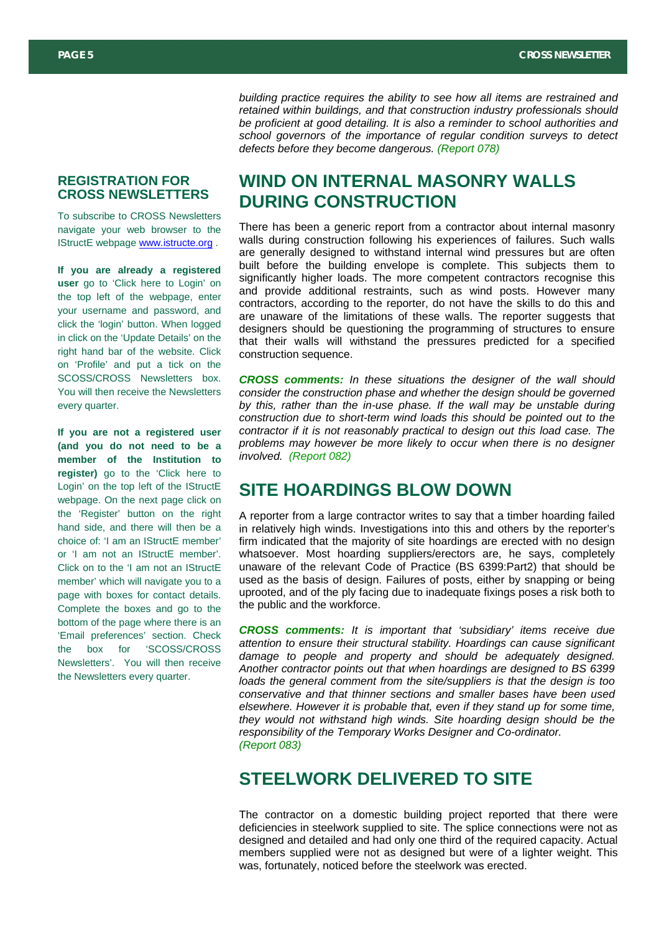*building practice requires the ability to see how all items are restrained and retained within buildings, and that construction industry professionals should be proficient at good detailing. It is also a reminder to school authorities and school governors of the importance of regular condition surveys to detect defects before they become dangerous. (Report 078)*

#### **REGISTRATION FOR CROSS NEWSLETTERS**

To subscribe to CROSS Newsletters navigate your web browser to the IStructE webpage [www.istructe.org](http://www.istructe.org/) .

**If you are already a registered user** go to 'Click here to Login' on the top left of the webpage, enter your username and password, and click the 'login' button. When logged in click on the 'Update Details' on the right hand bar of the website. Click on 'Profile' and put a tick on the SCOSS/CROSS Newsletters box. You will then receive the Newsletters every quarter.

**If you are not a registered user (and you do not need to be a member of the Institution to register)** go to the 'Click here to Login' on the top left of the IStructE webpage. On the next page click on the 'Register' button on the right hand side, and there will then be a choice of: 'I am an IStructE member' or 'I am not an IStructE member'. Click on to the 'I am not an IStructE member' which will navigate you to a page with boxes for contact details. Complete the boxes and go to the bottom of the page where there is an 'Email preferences' section. Check the box for 'SCOSS/CROSS Newsletters'. You will then receive the Newsletters every quarter.

# **WIND ON INTERNAL MASONRY WALLS DURING CONSTRUCTION**

There has been a generic report from a contractor about internal masonry walls during construction following his experiences of failures. Such walls are generally designed to withstand internal wind pressures but are often built before the building envelope is complete. This subjects them to significantly higher loads. The more competent contractors recognise this and provide additional restraints, such as wind posts. However many contractors, according to the reporter, do not have the skills to do this and are unaware of the limitations of these walls. The reporter suggests that designers should be questioning the programming of structures to ensure that their walls will withstand the pressures predicted for a specified construction sequence.

*CROSS comments: In these situations the designer of the wall should consider the construction phase and whether the design should be governed*  by this, rather than the in-use phase. If the wall may be unstable during *construction due to short-term wind loads this should be pointed out to the contractor if it is not reasonably practical to design out this load case. The problems may however be more likely to occur when there is no designer involved. (Report 082)*

### **SITE HOARDINGS BLOW DOWN**

A reporter from a large contractor writes to say that a timber hoarding failed in relatively high winds. Investigations into this and others by the reporter's firm indicated that the majority of site hoardings are erected with no design whatsoever. Most hoarding suppliers/erectors are, he says, completely unaware of the relevant Code of Practice (BS 6399:Part2) that should be used as the basis of design. Failures of posts, either by snapping or being uprooted, and of the ply facing due to inadequate fixings poses a risk both to the public and the workforce.

*CROSS comments: It is important that 'subsidiary' items receive due attention to ensure their structural stability. Hoardings can cause significant damage to people and property and should be adequately designed. Another contractor points out that when hoardings are designed to BS 6399 loads the general comment from the site/suppliers is that the design is too conservative and that thinner sections and smaller bases have been used elsewhere. However it is probable that, even if they stand up for some time, they would not withstand high winds. Site hoarding design should be the responsibility of the Temporary Works Designer and Co-ordinator. (Report 083)* 

### **STEELWORK DELIVERED TO SITE**

The contractor on a domestic building project reported that there were deficiencies in steelwork supplied to site. The splice connections were not as designed and detailed and had only one third of the required capacity. Actual members supplied were not as designed but were of a lighter weight. This was, fortunately, noticed before the steelwork was erected.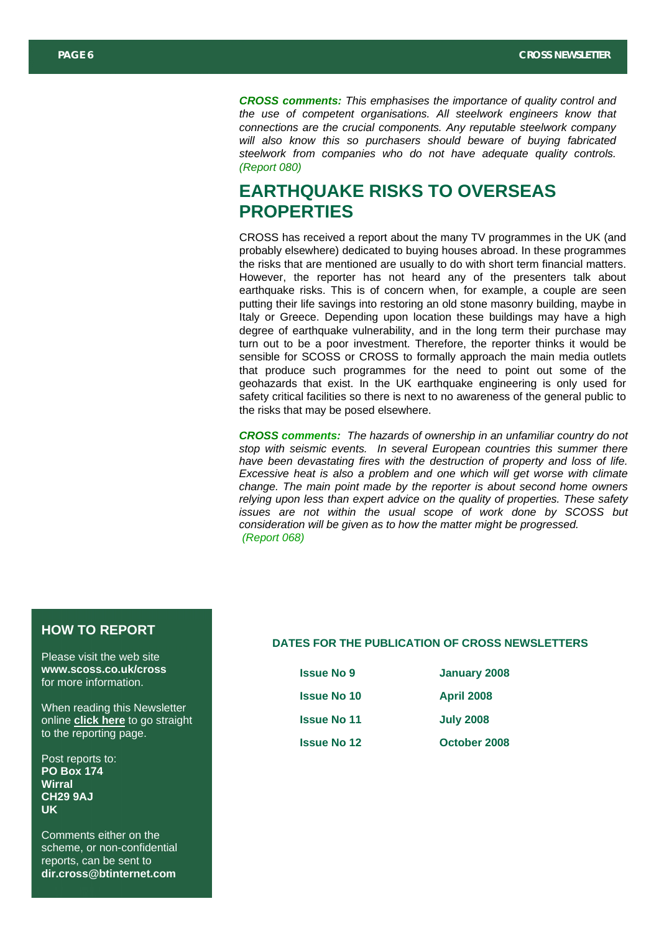*CROSS comments: This emphasises the importance of quality control and the use of competent organisations. All steelwork engineers know that connections are the crucial components. Any reputable steelwork company will also know this so purchasers should beware of buying fabricated steelwork from companies who do not have adequate quality controls. (Report 080)*

## **EARTHQUAKE RISKS TO OVERSEAS PROPERTIES**

CROSS has received a report about the many TV programmes in the UK (and probably elsewhere) dedicated to buying houses abroad. In these programmes the risks that are mentioned are usually to do with short term financial matters. However, the reporter has not heard any of the presenters talk about earthquake risks. This is of concern when, for example, a couple are seen putting their life savings into restoring an old stone masonry building, maybe in Italy or Greece. Depending upon location these buildings may have a high degree of earthquake vulnerability, and in the long term their purchase may turn out to be a poor investment. Therefore, the reporter thinks it would be sensible for SCOSS or CROSS to formally approach the main media outlets that produce such programmes for the need to point out some of the geohazards that exist. In the UK earthquake engineering is only used for safety critical facilities so there is next to no awareness of the general public to the risks that may be posed elsewhere.

*CROSS comments: The hazards of ownership in an unfamiliar country do not stop with seismic events. In several European countries this summer there have been devastating fires with the destruction of property and loss of life. Excessive heat is also a problem and one which will get worse with climate change. The main point made by the reporter is about second home owners relying upon less than expert advice on the quality of properties. These safety issues are not within the usual scope of work done by SCOSS but consideration will be given as to how the matter might be progressed. (Report 068)* 

#### **HOW TO REPORT**

Please visit the web site **www.scoss.co.uk/cross** for more information.

When reading this Newsletter online **[click here](http://www.scoss.org.uk/CROSS/PDF/CROSS_REPORT_FORM.pdf)** to go straight to the reporting page.

Post reports to: **PO Box 174 Wirral CH29 9AJ UK** 

Comments either on the scheme, or non-confidential reports, can be sent to **dir.cross@btinternet.com** 

#### **DATES FOR THE PUBLICATION OF CROSS NEWSLETTERS**

| <b>Issue No 9</b>  | January 2008      |
|--------------------|-------------------|
| <b>Issue No 10</b> | <b>April 2008</b> |
| <b>Issue No 11</b> | <b>July 2008</b>  |
| <b>Issue No 12</b> | October 2008      |